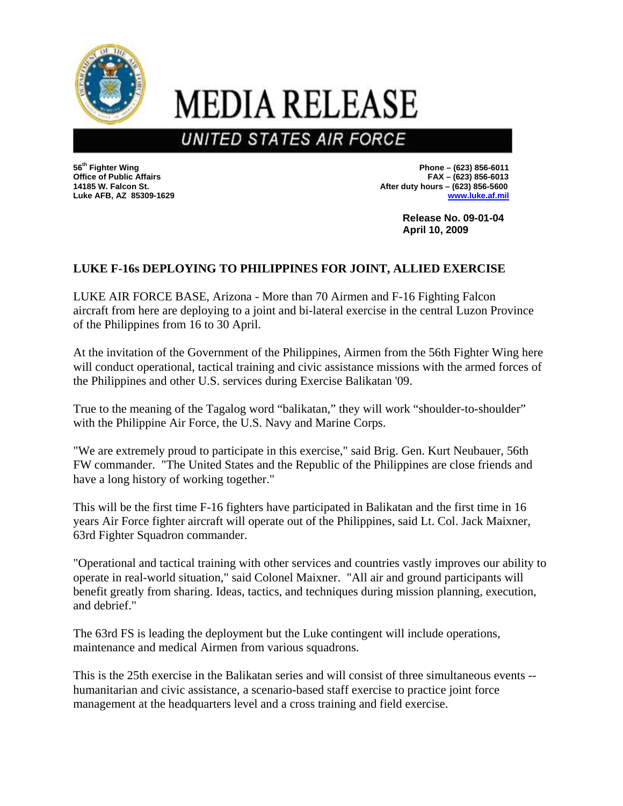

## **MEDIA RELEASE**

## **UNITED STATES AIR FORCE**

**56th Fighter Wing Phone – (623) 856-6011 Office of Public Affairs FAX – (623) 856-6013 14185 W. Falcon St. After duty hours – (623) 856-5600 Luke AFB, AZ 85309-1629 www.luke.af.mil**

> **Release No. 09-01-04 April 10, 2009**

## **LUKE F-16s DEPLOYING TO PHILIPPINES FOR JOINT, ALLIED EXERCISE**

LUKE AIR FORCE BASE, Arizona - More than 70 Airmen and F-16 Fighting Falcon aircraft from here are deploying to a joint and bi-lateral exercise in the central Luzon Province of the Philippines from 16 to 30 April.

At the invitation of the Government of the Philippines, Airmen from the 56th Fighter Wing here will conduct operational, tactical training and civic assistance missions with the armed forces of the Philippines and other U.S. services during Exercise Balikatan '09.

True to the meaning of the Tagalog word "balikatan," they will work "shoulder-to-shoulder" with the Philippine Air Force, the U.S. Navy and Marine Corps.

"We are extremely proud to participate in this exercise," said Brig. Gen. Kurt Neubauer, 56th FW commander. "The United States and the Republic of the Philippines are close friends and have a long history of working together."

This will be the first time F-16 fighters have participated in Balikatan and the first time in 16 years Air Force fighter aircraft will operate out of the Philippines, said Lt. Col. Jack Maixner, 63rd Fighter Squadron commander.

"Operational and tactical training with other services and countries vastly improves our ability to operate in real-world situation," said Colonel Maixner. "All air and ground participants will benefit greatly from sharing. Ideas, tactics, and techniques during mission planning, execution, and debrief."

The 63rd FS is leading the deployment but the Luke contingent will include operations, maintenance and medical Airmen from various squadrons.

This is the 25th exercise in the Balikatan series and will consist of three simultaneous events - humanitarian and civic assistance, a scenario-based staff exercise to practice joint force management at the headquarters level and a cross training and field exercise.